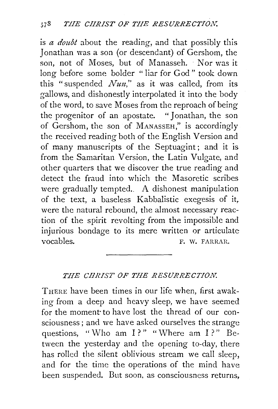is *a doubt* about the reading, and that possibly this Jonathan was a son (or descendant) of Gershom, the son, not of Moses, but of Manasseh. Nor was it long before some bolder " liar for God" took down this "suspended *Nun*," as it was called, from its gallows, and dishonestly interpolated it into the body of the word, to save Moses from the reproach of being the progenitor of an apostate. "Jonathan, the son of Gershom, the son of MANASSEH," is accordingly the received reading both of the English Version and of many manuscripts of the Septuagint; and it is from the Samaritan Version, the Latin Vulgate, and other quarters that we discover the true reading and detect the fraud into which the Masoretic scribes were gradually tempted.. A dishonest manipulation of the text, a baseless Kabbalistic exegesis of it, were the natural rebound, the almost necessary reaction of the spirit revolting from the impossible and injurious bondage to its mere written or articulate vocables. F. W. FARRAR.

## *THE CHRIST OF THE RESURRECTION.*

THERE have been times in our life when, first awaking from a deep and heavy sleep, we have seemed for the moment to have lost the thread of our consciousness; and we have asked ourselves the strange questions, "Who am  $I$ ?" "Where am  $I$ ?" Between the yesterday and the opening to-day, there has rolled the silent oblivious stream we call sleep, and for the time the operations of the mind have been suspended. But soon, as consciousness returns,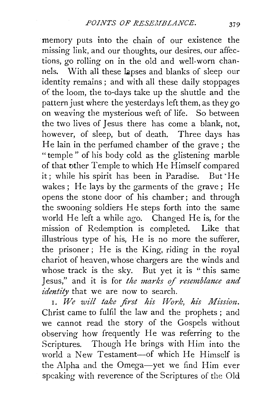memory puts into the chain of our existence the missing link, and our thoughts, our desires, our affections, go rolling on in the old and well-worn channels. With all these lapses and blanks of sleep our identity remains ; and with all these daily stoppages of the loom, the to-days take up the shuttle and the pattern just where the yesterdays left them, as they go on weaving the mysterious weft of life. So between the two lives of Jesus there has come a blank, not, however, of sleep, but of death. Three days has He lain in the perfumed chamber of the grave ; the "temple" of his body cold as the glistening marble of that other Temple to which He Himself compared it; while his spirit has been in Paradise. But· He wakes; He lays by the garments of the grave; He opens the stone door of his chamber; and through the swooning soldiers He steps forth into the same world He left a while ago. Changed He is, for the mission of Redemption is completed. Like that illustrious type of his, He is no more the sufferer, the prisoner; He is the King, riding in the royal chariot of heaven, whose chargers are the winds and whose track is the sky. But yet it is "this same Jesus," and it is for *the marks of resemblance and identity* that we are now to search.

1. We will take first his Work, his Mission. Christ came to fulfil the law and the prophets ; and we cannot read the story of the Gospels without observing how frequently He was referring to the Scriptures. Though He brings with Him into the world a New Testament-of which He Himself is the Alpha and the Omega-yet we find Him ever speaking with reverence of the Scriptures of the Old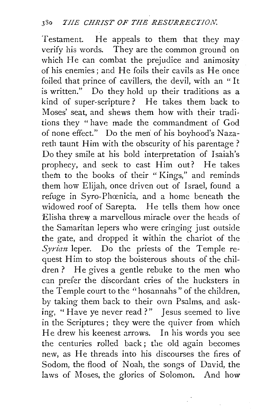Testament. He appeals to them that they may verify his words. They are the common ground on which He can combat the prejudice and animosity of his enemies; and He foils their cavils as He once foiled that prince of cavillers, the devil, with an " It is written." Do they hold up their traditions as a kind of super-scripture? He takes them back to Moses' seat, and shews them how with their traditions they " have made the commandment of God of none effect." Do the men of his boyhood's Nazareth taunt Him with the obscurity of his parentage ? Do they smile at his bold interpretation of Isaiah's prophecy, and seek to cast Him out? He takes them to the books of their " Kings," and reminds them how Elijah, once driven out of Israel, found a refuge in Syro-Phœnicia, and a home beneath the widowed roof of Sarepta. He tells them how once Elisha threw a marvellous miracle over the heads of the Samaritan lepers who were cringing just outside the gate, and dropped it within the chariot of the *Syrian* leper. Do the priests of the Temple request Him to stop the boisterous shouts of the children ? He gives a gentle rebuke to the men who can prefer the discordant cries of the hucksters in the Temple court to the "hosannahs" of the children, by taking them back to their own Psalms, and asking, "Have ye never read?" Jesus seemed to live in the Scriptures; they were the quiver from which He drew his keenest arrows. In his words you see the centuries rolled back ; the old again becomes new, as He threads into his discourses the fires of Sodom, the flood of Noah, the songs of David, the laws of Moses, the glories of Solomon. And how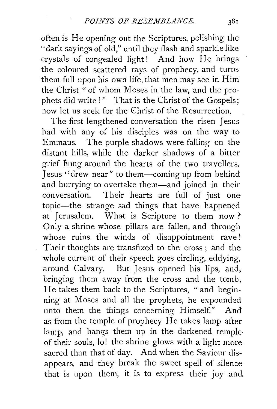often is He opening out the Scriptures, polishing the "dark sayings of old," until they flash and sparkle like crystals of congealed light! And how He brings the coloured scattered rays of prophecy, and turns them full upon his own life, that men may see in Him the Christ "of whom Moses in the law, and the prophets did write !" That is the Christ of the Gospels; now let us seek for the Christ of the Resurrection.

The first lengthened conversation the risen Jesus had with any of his disciples was on the way to Emmaus. The purple shadows were falling on the distant hills, while the darker shadows of a bitter grief flung around the hearts of the two travellers. Jesus "drew near" to them-coming up from behind and hurrying to overtake them-and joined in their conversation. Their hearts are full of just one topic-the strange sad things that have happened at Jerusalem. What is Scripture to them now ?' Only a shrine whose pillars are fallen, and through whose ruins the winds of disappointment rave! Their thoughts are transfixed to the cross ; and the whole current of their speech goes circling, eddying, around Calvary. But Jesus opened his lips, and. bringing them away from the cross and the tomb, He takes them back to the Scriptures, "and beginning at Moses and all the prophets, he expounded unto them the things concerning Himself." And as from the temple of prophecy He takes lamp after lamp, and hangs them up in the darkened temple of their souls, lo! the shrine glows with a light more sacred than that of day. And when the Saviour disappears, and they break the sweet spell of silence **that** is upon them, **it** is to express their joy and.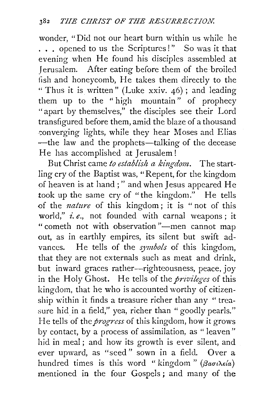wonder, "Did not our heart burn within us while he ... opened to us the Scriptures!" So was it that evening when He found his disciples assembled at Jerusalem. After eating before them of the broiled fish and honeycomb, He takes them directly to the " Thus it is written" (Luke xxiv.  $46$ ); and leading them up to the " high mountain" of prophecy "apart by themselves," the disciples see their Lord transfigured before them, amid the blaze of a thousand converging lights, while they hear Moses and Elias -the law and the prophets-talking of the decease He has accomplished at Jerusalem!

But Christ came to establish a kingdom. The startling cry of the Baptist was, "Repent, for the kingdom of heaven is at hand ; " and when Jesus appeared He took up the same cry of "the kingdom." He tells of the *nature* of this kingdom; it is "not of this world," *i.e.,* not founded with carnal weapons ; it " cometh not with observation"—men cannot map out, as in earthly empires, its silent but swift advances. He tells of the *symbols* of this kingdom, that they are not externals such as meat and drink, but inward graces rather-righteousness, peace, joy in the Holy Ghost. He tells of the *privileges* of this kingdom, that he who is accounted worthy of citizenship within it finds a treasure richer than any " treasure hid in a field," yea, richer than "goodly pearls." He tells of the *progress* of this kingdom, how it grows by contact, by a process of assimilation, as " leaven" hid in meal; and how its growth is ever silent, and ever upward, as "seed" sown in a field. Over a hundred times is this word "kingdom" *(βασιλεία)* mentioned in the four Gospels ; and many of the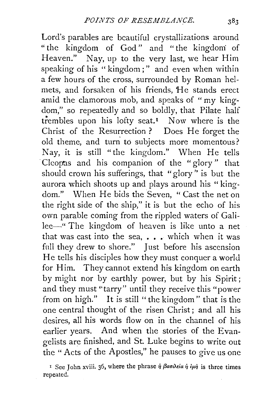Lord's parables are beautiful crystallizations around " the kingdom of God" and "the kingdom: of Heaven." Nay, up to the very last, we hear Him speaking of his "kingdom;" and even when within a few hours of the cross, surrounded by Roman helmets, and forsaken of his friends, He stands erect amid the clamorous mob, and speaks of " my kingdom," so repeatedly and so boldly, that Pilate half trembles upon his lofty seat.<sup>1</sup> Now where is the Christ of the Resurrection ? Does He forget the old theme, and turn to subjects more momentous? Nay, it is still "the kingdom." When He tells Cleopas and his companion of the "glory" that should crown his sufferings, that "glory'' is but the aurora which shoots up and plays around his "kingdom." When He bids the Seven, " Cast the net on the right side of the ship," it is but the echo of his own parable coming from the rippled waters of Galilee-" The kingdom of heaven is like unto a net that was cast into the sea, . . . which when it was full they drew to shore." Just before his ascension He tells his disciples how they must conquer a world for Him. They cannot extend his kingdom on earth by might nor by earthly power, but by his Spirit; and they must "tarry" until they receive this "power from on high." It is still "the kingdom" that is the one central thought of the risen Christ; and all his desires, all his words flow on in the channel of his earlier years. And when the stories of the Evangelists are finished, and St. Luke begins to write out the "Acts of the Apostles," he pauses to give us one

<sup>I</sup> See John xviii. 36, where the phrase  $\dot{\eta}$   $\beta$ *aoultica*  $\dot{\eta}$  *i* $\mu \dot{\eta}$  is three times repeated.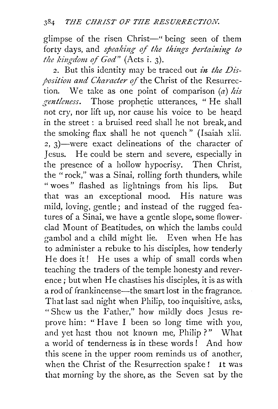glimpse of the risen Christ-" being seen of them forty days, and *speaking of the things pertaining to the kingdom of God"* (Acts i. 3).

2. But this identity may be traced out *in the Disposition and Character of the Christ of the Resurrec*tion. We take as one point of comparison (a) *his gentleness.* Those prophetic utterances, "He shall not cry, nor lift up, nor cause his voice to be heard in the street : a bruised reed shall he not break, and the smoking flax shall he not quench" (Isaiah xlii. 2, 3)-were exact delineations of the character of Jesus. He could be stern and severe, especially in the presence of a hollow hypocrisy. Then Christ, the "rock," was a Sinai, rolling forth thunders, while " woes" flashed as lightnings from his lips. But that was an exceptional mood. His nature was mild, loving, gentle; and instead of the rugged features of a Sinai, we have a gentle slope, some flowerclad Mount of Beatitudes, on which the lambs could gambol and a child might lie. Even when He has to administer a rebuke to his disciples, how tenderly He does it! He uses a whip of small cords when teaching the traders of the temple honesty and reverence; but when He chastises his disciples, it is as with a rod of frankincense—the smart lost in the fragrance. That last sad night when Philip, too inquisitive, asks, "Shew us the Father," how mildly does Jesus reprove him: "Have I been so long time with you, and yet hast thou not known me, Philip ?" What a world of tenderness is in these words ! And how this scene in the upper room reminds us of another, when the Christ of the Resurrection spake! It was that morning by the shore, as the Seven sat by the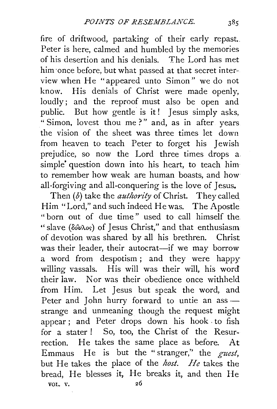fire of driftwood, partaking of their early repast.. Peter is here, calmed and humbled by the memories of his desertion and his denials. The Lord has met him once before, but what passed at that secret interview when He "appeared unto Simon" we do not know. His denials of Christ were made openly, loudly; and the reproof must also be open and public. But how gentle is it! Jesus simply asks, " Simon, lovest thou me?" and, as in after years the vision of the sheet was three times let down from heaven to teach Peter to forget his Jewish prejudice, so now the Lord three times drops a simple' question down into his heart, to teach him to remember how weak are human boasts, and how all-forgiving and all-conquering is the love of Jesus.

Then (b) take the *authority* of Christ. They called Him "Lord," and such indeed He was. The Apostle " born out of due time " used to call himself the "slave ( $\delta \hat{\omega}$  $\lambda$ os) of Jesus Christ," and that enthusiasm of devotion was shared by all his brethren. Christ was their leader, their autocrat-if we may borrow a word from despotism ; and they were happy willing vassals. His will was their will, his word their law. Nor was their obedience once withheld from Him. Let Jesus but speak the word, and Peter and John hurry forward to untie an assstrange and unmeaning though the request might appear ; and Peter drops down his hook to fish for a stater ! So, too, the Christ of the Resurrection. He takes the same place as before. At Emmaus He is but the "stranger,'' the *guest,*  but He takes the place of the *host. He* takes the bread, He blesses it, He breaks it, and then He VOL. V. 26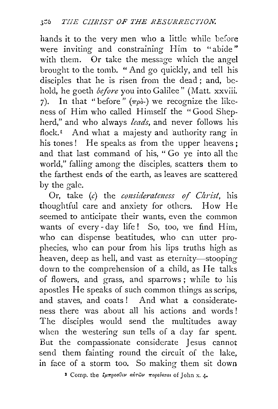hands it to the very men who a little while before were inviting and constraining Him to "abide" with them. Or take the message which the angel brought to the tomb. "And go quickly, and tell his disciples that he is risen from the dead ; and, behold, he goeth *before* you into Galilee" (Matt. xxviii. 7). In that "before"  $(\pi \rho \delta)$  we recognize the likeness of Him who called Himself the "Good Shepherd," and who always *leads,* and never follows his flock.<sup> $I$ </sup> And what a majesty and authority rang in his tones! He speaks as from the upper heavens : and that last command of his, " Go ye into all the world," falling among the disciples, scatters them to the farthest ends of the earth, as leaves are scattered by the gale.

Or, take (c) the *considerateness of Christ*, his thoughtful care and anxiety for others. How He seemed to anticipate their wants, even the common wants of every- day life! So, too, we find Him, who can dispense beatitudes, who can utter prophecies, who can pour from his lips truths high as heaven, deep as hell, and vast as eternity-stooping down to the comprehension of a child, as He talks of flowers, and grass, and sparrows; while to his apostles He speaks of such common things as scrips, and staves, and coats ! And what a considerateness there was about all his actions and words ! The disciples would send the multitudes away when the westering sun tells of a day far spent. But the compassionate considerate Jesus cannot send them fainting round the circuit of the lake, m face of a storm too. So making them sit down

<sup>1</sup> Comp. the *ζμπροσθεν αυτών πορεύεται* of John x. 4.